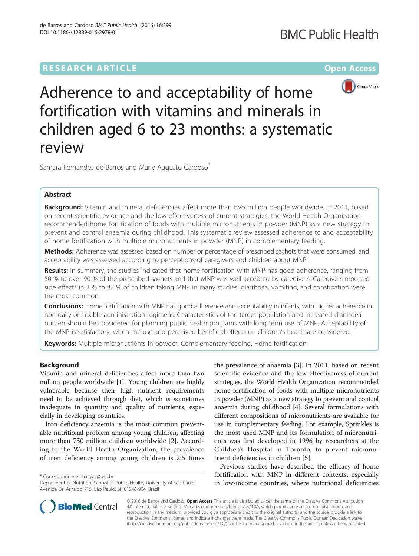# **RESEARCH ARTICLE Example 2014 12:30 The Contract of Contract ACCESS**



Adherence to and acceptability of home fortification with vitamins and minerals in children aged 6 to 23 months: a systematic review

Samara Fernandes de Barros and Marly Augusto Cardoso<sup>\*</sup>

## Abstract

Background: Vitamin and mineral deficiencies affect more than two million people worldwide. In 2011, based on recent scientific evidence and the low effectiveness of current strategies, the World Health Organization recommended home fortification of foods with multiple micronutrients in powder (MNP) as a new strategy to prevent and control anaemia during childhood. This systematic review assessed adherence to and acceptability of home fortification with multiple micronutrients in powder (MNP) in complementary feeding.

**Methods:** Adherence was assessed based on number or percentage of prescribed sachets that were consumed, and acceptability was assessed according to perceptions of caregivers and children about MNP.

Results: In summary, the studies indicated that home fortification with MNP has good adherence, ranging from 50 % to over 90 % of the prescribed sachets and that MNP was well accepted by caregivers. Caregivers reported side effects in 3 % to 32 % of children taking MNP in many studies; diarrhoea, vomiting, and constipation were the most common.

Conclusions: Home fortification with MNP has good adherence and acceptability in infants, with higher adherence in non-daily or flexible administration regimens. Characteristics of the target population and increased diarrhoea burden should be considered for planning public health programs with long term use of MNP. Acceptability of the MNP is satisfactory, when the use and perceived beneficial effects on children's health are considered.

Keywords: Multiple micronutrients in powder, Complementary feeding, Home fortification

## Background

Vitamin and mineral deficiencies affect more than two million people worldwide [[1\]](#page-9-0). Young children are highly vulnerable because their high nutrient requirements need to be achieved through diet, which is sometimes inadequate in quantity and quality of nutrients, especially in developing countries.

Iron deficiency anaemia is the most common preventable nutritional problem among young children, affecting more than 750 million children worldwide [[2\]](#page-9-0). According to the World Health Organization, the prevalence of iron deficiency among young children is 2.5 times

\* Correspondence: [marlyac@usp.br](mailto:marlyac@usp.br)

the prevalence of anaemia [[3\]](#page-9-0). In 2011, based on recent scientific evidence and the low effectiveness of current strategies, the World Health Organization recommended home fortification of foods with multiple micronutrients in powder (MNP) as a new strategy to prevent and control anaemia during childhood [\[4](#page-9-0)]. Several formulations with different compositions of micronutrients are available for use in complementary feeding. For example, Sprinkles is the most used MNP and its formulation of micronutrients was first developed in 1996 by researchers at the Children's Hospital in Toronto, to prevent micronutrient deficiencies in children [[5](#page-9-0)].

Previous studies have described the efficacy of home fortification with MNP in different contexts, especially in low-income countries, where nutritional deficiencies



© 2016 de Barros and Cardoso. Open Access This article is distributed under the terms of the Creative Commons Attribution 4.0 International License ([http://creativecommons.org/licenses/by/4.0/\)](http://creativecommons.org/licenses/by/4.0/), which permits unrestricted use, distribution, and reproduction in any medium, provided you give appropriate credit to the original author(s) and the source, provide a link to the Creative Commons license, and indicate if changes were made. The Creative Commons Public Domain Dedication waiver [\(http://creativecommons.org/publicdomain/zero/1.0/](http://creativecommons.org/publicdomain/zero/1.0/)) applies to the data made available in this article, unless otherwise stated.

Department of Nutrition, School of Public Health, University of São Paulo, Avenida Dr. Arnaldo 715, São Paulo, SP 01246-904, Brazil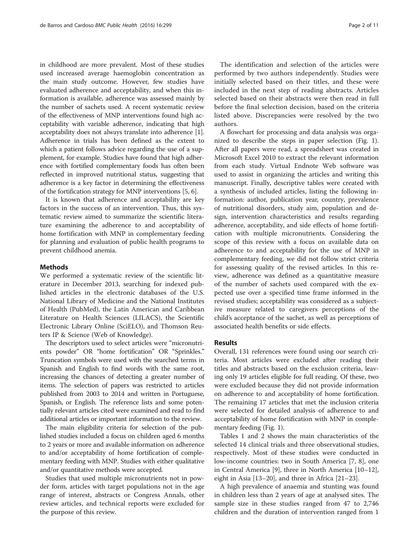in childhood are more prevalent. Most of these studies used increased average haemoglobin concentration as the main study outcome. However, few studies have evaluated adherence and acceptability, and when this information is available, adherence was assessed mainly by the number of sachets used. A recent systematic review of the effectiveness of MNP interventions found high acceptability with variable adherence, indicating that high acceptability does not always translate into adherence [[1](#page-9-0)]. Adherence in trials has been defined as the extent to which a patient follows advice regarding the use of a supplement, for example. Studies have found that high adherence with fortified complementary foods has often been reflected in improved nutritional status, suggesting that adherence is a key factor in determining the effectiveness of the fortification strategy for MNP interventions [\[5](#page-9-0), [6\]](#page-9-0).

It is known that adherence and acceptability are key factors in the success of an intervention. Thus, this systematic review aimed to summarize the scientific literature examining the adherence to and acceptability of home fortification with MNP in complementary feeding for planning and evaluation of public health programs to prevent childhood anemia.

#### Methods

We performed a systematic review of the scientific literature in December 2013, searching for indexed published articles in the electronic databases of the U.S. National Library of Medicine and the National Institutes of Health (PubMed), the Latin American and Caribbean Literature on Health Sciences (LILACS), the Scientific Electronic Library Online (SciELO), and Thomson Reuters IP & Science (Web of Knowledge).

The descriptors used to select articles were "micronutrients powder" OR "home fortification" OR "Sprinkles." Truncation symbols were used with the searched terms in Spanish and English to find words with the same root, increasing the chances of detecting a greater number of items. The selection of papers was restricted to articles published from 2003 to 2014 and written in Portuguese, Spanish, or English. The reference lists and some potentially relevant articles cited were examined and read to find additional articles or important information to the review.

The main eligibility criteria for selection of the published studies included a focus on children aged 6 months to 2 years or more and available information on adherence to and/or acceptability of home fortification of complementary feeding with MNP. Studies with either qualitative and/or quantitative methods were accepted.

Studies that used multiple micronutrients not in powder form, articles with target populations not in the age range of interest, abstracts or Congress Annals, other review articles, and technical reports were excluded for the purpose of this review.

The identification and selection of the articles were performed by two authors independently. Studies were initially selected based on their titles, and these were included in the next step of reading abstracts. Articles selected based on their abstracts were then read in full before the final selection decision, based on the criteria listed above. Discrepancies were resolved by the two authors.

A flowchart for processing and data analysis was organized to describe the steps in paper selection (Fig. [1](#page-2-0)). After all papers were read, a spreadsheet was created in Microsoft Excel 2010 to extract the relevant information from each study. Virtual Endnote Web software was used to assist in organizing the articles and writing this manuscript. Finally, descriptive tables were created with a synthesis of included articles, listing the following information: author, publication year, country, prevalence of nutritional disorders, study aim, population and design, intervention characteristics and results regarding adherence, acceptability, and side effects of home fortification with multiple micronutrients. Considering the scope of this review with a focus on available data on adherence to and acceptability for the use of MNP in complementary feeding, we did not follow strict criteria for assessing quality of the revised articles. In this review, adherence was defined as a quantitative measure of the number of sachets used compared with the expected use over a specified time frame informed in the revised studies; acceptability was considered as a subjective measure related to caregivers perceptions of the child's acceptance of the sachet, as well as perceptions of associated health benefits or side effects.

## Results

Overall, 131 references were found using our search criteria. Most articles were excluded after reading their titles and abstracts based on the exclusion criteria, leaving only 19 articles eligible for full reading. Of these, two were excluded because they did not provide information on adherence to and acceptability of home fortification. The remaining 17 articles that met the inclusion criteria were selected for detailed analysis of adherence to and acceptability of home fortification with MNP in complementary feeding (Fig. [1](#page-2-0)).

Tables [1](#page-3-0) and [2](#page-5-0) shows the main characteristics of the selected 14 clinical trials and three observational studies, respectively. Most of these studies were conducted in low-income countries: two in South America [\[7](#page-9-0), [8\]](#page-9-0), one in Central America [\[9](#page-9-0)], three in North America [[10](#page-9-0)–[12](#page-10-0)], eight in Asia [[13](#page-10-0)–[20](#page-10-0)], and three in Africa [\[21](#page-10-0)–[23\]](#page-10-0).

A high prevalence of anaemia and stunting was found in children less than 2 years of age at analysed sites. The sample size in these studies ranged from 47 to 2,746 children and the duration of intervention ranged from 1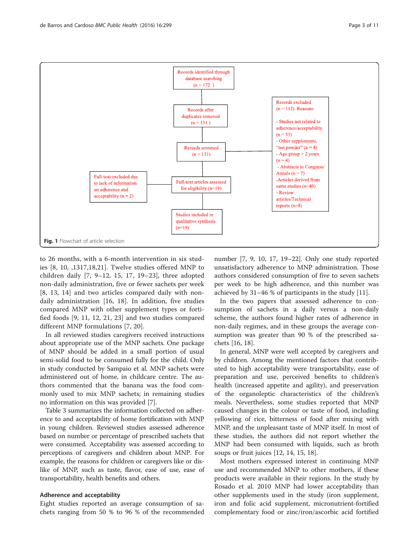<span id="page-2-0"></span>

to 26 months, with a 6-month intervention in six studies [8, 10, ,1317,18,21]. Twelve studies offered MNP to children daily [[7, 9](#page-9-0)–[12](#page-10-0), [15](#page-10-0), [17, 19](#page-10-0)–[23](#page-10-0)], three adopted non-daily administration, five or fewer sachets per week [[8,](#page-9-0) [13](#page-10-0), [14](#page-10-0)] and two articles compared daily with nondaily administration [[16, 18](#page-10-0)]. In addition, five studies compared MNP with other supplement types or fortified foods [[9, 11,](#page-9-0) [12](#page-10-0), [21, 23\]](#page-10-0) and two studies compared different MNP formulations [[7,](#page-9-0) [20\]](#page-10-0).

In all reviewed studies caregivers received instructions about appropriate use of the MNP sachets. One package of MNP should be added in a small portion of usual semi-solid food to be consumed fully for the child. Only in study conducted by Sampaio et al. MNP sachets were administered out of home, in childcare centre. The authors commented that the banana was the food commonly used to mix MNP sachets; in remaining studies no information on this was provided [[7\]](#page-9-0).

Table [3](#page-6-0) summarizes the information collected on adherence to and acceptability of home fortification with MNP in young children. Reviewed studies assessed adherence based on number or percentage of prescribed sachets that were consumed. Acceptability was assessed according to perceptions of caregivers and children about MNP. For example, the reasons for children or caregivers like or dislike of MNP, such as taste, flavor, ease of use, ease of transportability, health benefits and others.

#### Adherence and acceptability

Eight studies reported an average consumption of sachets ranging from 50 % to 96 % of the recommended

number [\[7](#page-9-0), [9](#page-9-0), [10,](#page-9-0) [17, 19](#page-10-0)–[22\]](#page-10-0). Only one study reported unsatisfactory adherence to MNP administration. Those authors considered consumption of five to seven sachets per week to be high adherence, and this number was achieved by 31–46 % of participants in the study [\[11](#page-9-0)].

In the two papers that assessed adherence to consumption of sachets in a daily versus a non-daily scheme, the authors found higher rates of adherence in non-daily regimes, and in these groups the average consumption was greater than 90 % of the prescribed sachets [[16, 18\]](#page-10-0).

In general, MNP were well accepted by caregivers and by children. Among the mentioned factors that contributed to high acceptability were transportability, ease of preparation and use, perceived benefits to children's health (increased appetite and agility), and preservation of the organoleptic characteristics of the children's meals. Nevertheless, some studies reported that MNP caused changes in the colour or taste of food, including yellowing of rice, bitterness of food after mixing with MNP, and the unpleasant taste of MNP itself. In most of these studies, the authors did not report whether the MNP had been consumed with liquids, such as broth soups or fruit juices [\[12, 14, 15, 18\]](#page-10-0).

Most mothers expressed interest in continuing MNP use and recommended MNP to other mothers, if these products were available in their regions. In the study by Rosado et al. 2010 MNP had lower acceptability than other supplements used in the study (iron supplement, iron and folic acid supplement, micronutrient-fortified complementary food or zinc/iron/ascorbic acid fortified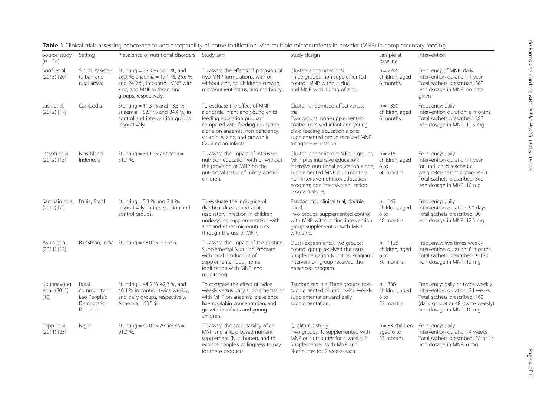| Source study<br>$(n = 14)$                   | Setting                                                         | Prevalence of nutritional disorders Study aim                                                                                                                  |                                                                                                                                                                                                                                 | Study design                                                                                                                                                                                                                                           | Sample at<br>baseline                              | Intervention                                                                                                                                                                        |
|----------------------------------------------|-----------------------------------------------------------------|----------------------------------------------------------------------------------------------------------------------------------------------------------------|---------------------------------------------------------------------------------------------------------------------------------------------------------------------------------------------------------------------------------|--------------------------------------------------------------------------------------------------------------------------------------------------------------------------------------------------------------------------------------------------------|----------------------------------------------------|-------------------------------------------------------------------------------------------------------------------------------------------------------------------------------------|
| Soofi et al.<br>$(2013)$ $[20]$              | Sindh, Pakistan<br>(urban and<br>rural areas)                   | Stunting = 23.3 %, 30.1 %, and<br>26.9 %; anaemia = 17.1 %, 26.6 %,<br>and 24.9 %, in control, MNP with<br>zinc, and MNP without zinc<br>groups, respectively. | To assess the effects of provision of<br>two MNP formulations, with or<br>without zinc, on children's growth,<br>micronutrient status, and morbidity.                                                                           | Cluster-randomized trial.<br>Three groups: non-supplemented<br>control, MNP without zinc,<br>and MNP with 10 mg of zinc.                                                                                                                               | $n = 2746$<br>children, aged<br>6 months.          | Frequency of MNP: daily<br>Intervention duration: 1 year<br>Total sachets prescribed: 360<br>Iron dosage in MNP: no data<br>given                                                   |
| Jack et al.<br>$(2012)$ [17]                 | Cambodia                                                        | Stunting = 11.3 % and 13.3 %;<br>anaemia = $83.7$ % and $84.4$ %, in<br>control and intervention groups,<br>respectively.                                      | To evaluate the effect of MNP<br>alongside infant and young child<br>feeding education program<br>compared with feeding education<br>alone on anaemia, iron deficiency,<br>vitamin A, zinc, and growth in<br>Cambodian infants. | Cluster-randomized effectiveness<br>trial.<br>Two groups: non-supplemented<br>control received infant and young<br>child feeding education alone;<br>supplemented group received MNP<br>alongside education.                                           | $n = 1350$<br>children, aged<br>6 months.          | Frequency: daily<br>Intervention duration: 6 months<br>Total sachets prescribed: 180<br>Iron dosage in MNP: 12.5 mg                                                                 |
| Inayati et al.<br>$(2012)$ [15]              | Nias Island,<br>Indonesia                                       | Stunting = $34.1$ %; anaemia =<br>51.7 %.                                                                                                                      | To assess the impact of intensive<br>nutrition education with or without<br>the provision of MNP on the<br>nutritional status of mildly wasted<br>children.                                                                     | Cluster-randomized trial.Four groups: $n = 215$<br>MNP plus intensive education;<br>intensive nutritional education alone;<br>supplemented MNP plus monthly<br>non-intensive nutrition education<br>program; non-intensive education<br>program alone. | children, aged<br>6 to<br>60 months.               | Frequency: daily<br>Intervention duration: 1 year<br>(or until child reached a<br>weight-for-height z score $\ge$ -1)<br>Total sachets prescribed: 360<br>Iron dosage in MNP: 10 mg |
| Sampaio et al. Bahia, Brazil<br>$(2012)$ [7] |                                                                 | Stunting = 5.3 % and 7.4 %,<br>respectively, in intervention and<br>control groups.                                                                            | To evaluate the incidence of<br>diarrheal disease and acute<br>respiratory infection in children<br>undergoing supplementation with<br>zinc and other micronutrients<br>through the use of MNP.                                 | Randomized clinical trial, double<br>blind.<br>Two groups: supplemented control<br>with MNP without zinc; intervention<br>group supplemented with MNP<br>with zinc.                                                                                    | $n = 143$<br>children, aged<br>6 to<br>48 months.  | Frequency: daily<br>Intervention duration: 90 days<br>Total sachets prescribed: 90<br>Iron dosage in MNP: 12.5 mg                                                                   |
| Avula et al.<br>$(2011)$ [13]                |                                                                 | Rajasthan, India Stunting = 48.0 % in India.                                                                                                                   | To assess the impact of the existing<br>Supplemental Nutrition Program<br>with local production of<br>supplemental food, home<br>fortification with MNP, and<br>monitoring.                                                     | Quasi-experimental. Two groups:<br>control group received the usual<br>Supplementation Nutrition Program;<br>intervention group received the<br>enhanced program.                                                                                      | $n = 1128$<br>children, aged<br>6 to<br>30 months. | Frequency: five times weekly<br>Intervention duration: 6 months<br>Total sachets prescribed: $\approx$ 120<br>Iron dosage in MNP: 12 mg                                             |
| Kounnavong<br>et al. (2011)<br>$[18]$        | Rural<br>community in<br>Lao People's<br>Democratic<br>Republic | Stunting = 44.5 %, 42.3 %, and<br>40.4 % in control, twice weekly,<br>and daily groups, respectively.<br>Anaemia = 63.5 %.                                     | To compare the effect of twice<br>weekly versus daily supplementation<br>with MNP on anaemia prevalence,<br>haemoglobin concentration, and<br>growth in infants and young<br>children.                                          | Randomized trial.Three groups: non-<br>supplemented control, twice weekly<br>supplementation, and daily<br>supplementation.                                                                                                                            | $n = 336$<br>children, aged<br>6 to<br>52 months.  | Frequency: daily or twice weekly.<br>Intervention duration: 24 weeks<br>Total sachets prescribed: 168<br>(daily group) or 48 (twice weekly)<br>Iron dosage in MNP: 10 mg            |
| Tripp et al.<br>$(2011)$ $[23]$              | Niger                                                           | Stunting = 49.0 %; Anaemia =<br>91.0 %.                                                                                                                        | To assess the acceptability of an<br>MNP and a lipid-based nutrient<br>supplement (Nutributter), and to<br>explore people's willingness to pay<br>for these products.                                                           | Qualitative study.<br>Two groups: 1. Supplemented with<br>MNP or Nutributter for 4 weeks; 2.<br>Supplemented with MNP and<br>Nutributter for 2 weeks each.                                                                                             | $n = 83$ children,<br>aged 6 to<br>23 months.      | Frequency: daily<br>Intervention duration: 4 weeks<br>Total sachets prescribed: 28 or 14<br>Iron dosage in MNP: 6 mg                                                                |

<span id="page-3-0"></span>

| Table 1 Clinical trials assessing adherence to and acceptability of home fortification with multiple micronutrients in powder (MNP) in complementary feeding |  |
|--------------------------------------------------------------------------------------------------------------------------------------------------------------|--|
|--------------------------------------------------------------------------------------------------------------------------------------------------------------|--|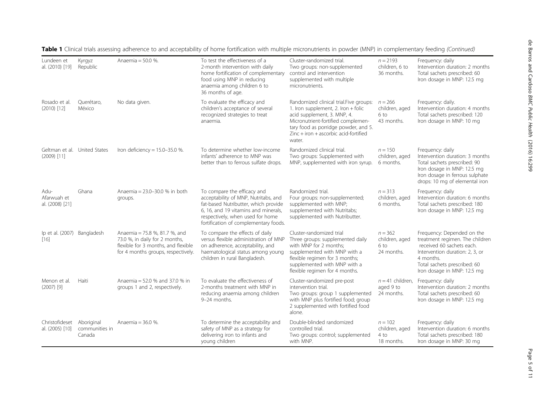| Lundeen et<br>al. (2010) [19]                 | Kyrgyz<br>Republic                     | Anaemia = 50.0 %.                                                                                                                            | To test the effectiveness of a<br>2-month intervention with daily<br>home fortification of complementary<br>food using MNP in reducing<br>anaemia among children 6 to<br>36 months of age.                                       | Cluster-randomized trial.<br>Two groups: non-supplemented<br>control and intervention<br>supplemented with multiple<br>micronutrients.                                                                                                           | $n = 2193$<br>children, 6 to<br>36 months.        | Frequency: daily<br>Intervention duration: 2 months<br>Total sachets prescribed: 60<br>Iron dosage in MNP: 12.5 mg                                                                                        |
|-----------------------------------------------|----------------------------------------|----------------------------------------------------------------------------------------------------------------------------------------------|----------------------------------------------------------------------------------------------------------------------------------------------------------------------------------------------------------------------------------|--------------------------------------------------------------------------------------------------------------------------------------------------------------------------------------------------------------------------------------------------|---------------------------------------------------|-----------------------------------------------------------------------------------------------------------------------------------------------------------------------------------------------------------|
| Rosado et al.<br>$(2010)$ [12]                | Querétaro,<br>México                   | No data given.                                                                                                                               | To evaluate the efficacy and<br>children's acceptance of several<br>recognized strategies to treat<br>anaemia.                                                                                                                   | Randomized clinical trial. Five groups:<br>1. Iron supplement, 2. Iron + folic<br>acid supplement, 3. MNP, 4.<br>Micronutrient-fortified complemen-<br>tary food as porridge powder, and 5.<br>$Zinc + iron + ascorbic acid-fortified$<br>water. | $n = 266$<br>children, aged<br>6 to<br>43 months. | Frequency: daily.<br>Intervention duration: 4 months<br>Total sachets prescribed: 120<br>Iron dosage in MNP: 10 mg                                                                                        |
| Geltman et al. United States<br>$(2009)$ [11] |                                        | Iron deficiency = $15.0 - 35.0$ %.                                                                                                           | To determine whether low-income<br>infants' adherence to MNP was<br>better than to ferrous sulfate drops.                                                                                                                        | Randomized clinical trial.<br>Two groups: Supplemented with<br>MNP, supplemented with iron syrup.                                                                                                                                                | $n = 150$<br>children, aged<br>6 months.          | Frequency: daily<br>Intervention duration: 3 months<br>Total sachets prescribed: 90<br>Iron dosage in MNP: 12.5 mg<br>Iron dosage in ferrous sulphate<br>drops: 10 mg of elemental iron                   |
| Adu-<br>Afarwuah et<br>al. (2008) [21]        | Ghana                                  | Anaemia = 23.0-30.0 % in both<br>groups.                                                                                                     | To compare the efficacy and<br>acceptability of MNP, Nutritabs, and<br>fat-based Nutributter, which provide<br>6. 16. and 19 vitamins and minerals.<br>respectively, when used for home<br>fortification of complementary foods. | Randomized trial.<br>Four groups: non-supplemented;<br>supplemented with MNP;<br>supplemented with Nutritabs;<br>supplemented with Nutributter.                                                                                                  | $n = 313$<br>children, aged<br>6 months.          | Frequency: daily<br>Intervention duration: 6 months<br>Total sachets prescribed: 180<br>Iron dosage in MNP: 12.5 mg                                                                                       |
| Ip et al. (2007) Bangladesh<br>$[16]$         |                                        | Anaemia = 75.8 %, 81.7 %, and<br>73.0 %, in daily for 2 months,<br>flexible for 3 months, and flexible<br>for 4 months groups, respectively. | To compare the effects of daily<br>versus flexible administration of MNP<br>on adherence, acceptability, and<br>haematological status among young<br>children in rural Bangladesh.                                               | Cluster-randomized trial<br>Three groups: supplemented daily<br>with MNP for 2 months:<br>supplemented with MNP with a<br>flexible regimen for 3 months;<br>supplemented with MNP with a<br>flexible regimen for 4 months.                       | $n = 362$<br>children, aged<br>6 to<br>24 months. | Frequency: Depended on the<br>treatment regimen. The children<br>received 60 sachets each.<br>Intervention duration: 2, 3, or<br>4 months.<br>Total sachets prescribed: 60<br>Iron dosage in MNP: 12.5 mg |
| Menon et al.<br>$(2007)$ [9]                  | Haiti                                  | Anaemia = 52.0 % and 37.0 % in<br>groups 1 and 2, respectively.                                                                              | To evaluate the effectiveness of<br>2-months treatment with MNP in<br>reducing anaemia among children<br>9-24 months.                                                                                                            | Cluster-randomized pre-post<br>intervention trial.<br>Two groups: group 1 supplemented<br>with MNP plus fortified food; group<br>2 supplemented with fortified food<br>alone.                                                                    | $n = 41$ children.<br>aged 9 to<br>24 months.     | Frequency: daily<br>Intervention duration: 2 months<br>Total sachets prescribed: 60<br>Iron dosage in MNP: 12.5 mg                                                                                        |
| Christofideset<br>al. (2005) [10]             | Aboriginal<br>communities in<br>Canada | Anaemia = 36.0 %.                                                                                                                            | To determine the acceptability and<br>safety of MNP as a strategy for<br>delivering iron to infants and<br>young children                                                                                                        | Double-blinded randomized<br>controlled trial.<br>Two groups: control; supplemented<br>with MNP.                                                                                                                                                 | $n = 102$<br>children, aged<br>4 to<br>18 months. | Frequency: daily<br>Intervention duration: 6 months<br>Total sachets prescribed: 180<br>Iron dosage in MNP: 30 mg                                                                                         |

Table 1 Clinical trials assessing adherence to and acceptability of home fortification with multiple micronutrients in powder (MNP) in complementary feeding (Continued)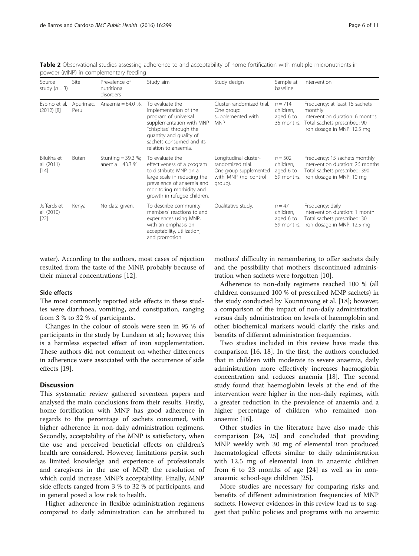<span id="page-5-0"></span>Table 2 Observational studies assessing adherence to and acceptability of home fortification with multiple micronutrients in powder (MNP) in complementary feeding

| Source<br>study $(n = 3)$           | Site              | Prevalence of<br>nutritional<br>disorders    | Study aim                                                                                                                                                                                              | Study design                                                                                             | Sample at<br>baseline                             | Intervention                                                                                                                                |
|-------------------------------------|-------------------|----------------------------------------------|--------------------------------------------------------------------------------------------------------------------------------------------------------------------------------------------------------|----------------------------------------------------------------------------------------------------------|---------------------------------------------------|---------------------------------------------------------------------------------------------------------------------------------------------|
| Espino et al.<br>$(2012)$ [8]       | Apurímac,<br>Peru | Anaemia = $64.0$ %.                          | To evaluate the<br>implementation of the<br>program of universal<br>supplementation with MNP<br>"chispitas" through the<br>quantity and quality of<br>sachets consumed and its<br>relation to anaemia. | Cluster-randomized trial.<br>One group:<br>supplemented with<br><b>MNP</b>                               | $n = 714$<br>children.<br>aged 6 to<br>35 months. | Frequency: at least 15 sachets<br>monthly<br>Intervention duration: 6 months<br>Total sachets prescribed: 90<br>Iron dosage in MNP: 12.5 mg |
| Bilukha et<br>al. (2011)<br>$[14]$  | Butan             | Stunting = $39.2\%$ ;<br>anemia = $43.3\%$ . | To evaluate the<br>effectiveness of a program<br>to distribute MNP on a<br>large scale in reducing the<br>prevalence of anaemia and<br>monitoring morbidity and<br>growth in refugee children.         | Longitudinal cluster-<br>randomized trial.<br>One group: supplemented<br>with MNP (no control<br>group). | $n = 502$<br>children,<br>aged 6 to<br>59 months. | Frequency: 15 sachets monthly<br>Intervention duration: 26 months<br>Total sachets prescribed: 390<br>Iron dosage in MNP: 10 mg             |
| Jefferds et<br>al. (2010)<br>$[22]$ | Kenya             | No data given.                               | To describe community<br>members' reactions to and<br>experiences using MNP,<br>with an emphasis on<br>acceptability, utilization,<br>and promotion.                                                   | Qualitative study.                                                                                       | $n = 47$<br>children,<br>aged 6 to<br>59 months.  | Frequency: daily<br>Intervention duration: 1 month<br>Total sachets prescribed: 30<br>Iron dosage in MNP: 12.5 mg                           |

water). According to the authors, most cases of rejection resulted from the taste of the MNP, probably because of their mineral concentrations [\[12](#page-10-0)].

#### Side effects

The most commonly reported side effects in these studies were diarrhoea, vomiting, and constipation, ranging from 3 % to 32 % of participants.

Changes in the colour of stools were seen in 95 % of participants in the study by Lundeen et al.; however, this is a harmless expected effect of iron supplementation. These authors did not comment on whether differences in adherence were associated with the occurrence of side effects [[19\]](#page-10-0).

### **Discussion**

This systematic review gathered seventeen papers and analysed the main conclusions from their results. Firstly, home fortification with MNP has good adherence in regards to the percentage of sachets consumed, with higher adherence in non-daily administration regimens. Secondly, acceptability of the MNP is satisfactory, when the use and perceived beneficial effects on children's health are considered. However, limitations persist such as limited knowledge and experience of professionals and caregivers in the use of MNP, the resolution of which could increase MNP's acceptability. Finally, MNP side effects ranged from 3 % to 32 % of participants, and in general posed a low risk to health.

Higher adherence in flexible administration regimens compared to daily administration can be attributed to mothers' difficulty in remembering to offer sachets daily and the possibility that mothers discontinued administration when sachets were forgotten [\[10](#page-9-0)].

Adherence to non-daily regimens reached 100 % (all children consumed 100 % of prescribed MNP sachets) in the study conducted by Kounnavong et al. [[18](#page-10-0)]; however, a comparison of the impact of non-daily administration versus daily administration on levels of haemoglobin and other biochemical markers would clarify the risks and benefits of different administration frequencies.

Two studies included in this review have made this comparison [[16](#page-10-0), [18](#page-10-0)]. In the first, the authors concluded that in children with moderate to severe anaemia, daily administration more effectively increases haemoglobin concentration and reduces anaemia [\[18](#page-10-0)]. The second study found that haemoglobin levels at the end of the intervention were higher in the non-daily regimes, with a greater reduction in the prevalence of anaemia and a higher percentage of children who remained nonanaemic [[16](#page-10-0)].

Other studies in the literature have also made this comparison [[24, 25](#page-10-0)] and concluded that providing MNP weekly with 30 mg of elemental iron produced haematological effects similar to daily administration with 12.5 mg of elemental iron in anaemic children from 6 to 23 months of age [\[24](#page-10-0)] as well as in nonanaemic school-age children [[25\]](#page-10-0).

More studies are necessary for comparing risks and benefits of different administration frequencies of MNP sachets. However evidences in this review lead us to suggest that public policies and programs with no anaemic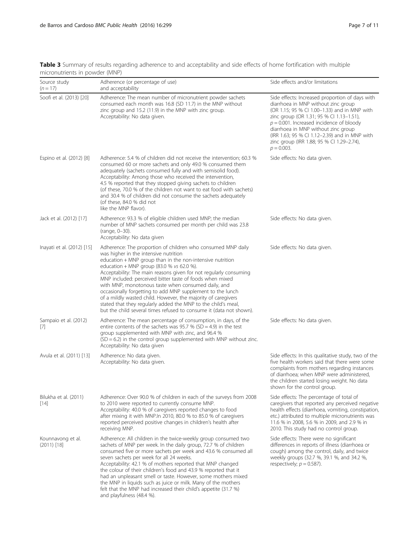<span id="page-6-0"></span>Table 3 Summary of results regarding adherence to and acceptability and side effects of home fortification with multiple micronutrients in powder (MNP)

| Source study<br>$(n = 17)$         | Adherence (or percentage of use)<br>and acceptability                                                                                                                                                                                                                                                                                                                                                                                                                                                                                                                                                                                                                            | Side effects and/or limitations                                                                                                                                                                                                                                                                                                                                                         |
|------------------------------------|----------------------------------------------------------------------------------------------------------------------------------------------------------------------------------------------------------------------------------------------------------------------------------------------------------------------------------------------------------------------------------------------------------------------------------------------------------------------------------------------------------------------------------------------------------------------------------------------------------------------------------------------------------------------------------|-----------------------------------------------------------------------------------------------------------------------------------------------------------------------------------------------------------------------------------------------------------------------------------------------------------------------------------------------------------------------------------------|
| Soofi et al. (2013) [20]           | Adherence: The mean number of micronutrient powder sachets<br>consumed each month was 16.8 (SD 11.7) in the MNP without<br>zinc group and 15.2 (11.9) in the MNP with zinc group.<br>Acceptability: No data given.                                                                                                                                                                                                                                                                                                                                                                                                                                                               | Side effects: Increased proportion of days with<br>diarrhoea in MNP without zinc group<br>(OR 1.15; 95 % Cl 1.00-1.33) and in MNP with<br>zinc group (OR 1.31; 95 % CI 1.13-1.51),<br>$p = 0.001$ . Increased incidence of bloody<br>diarrhoea in MNP without zinc group<br>(IRR 1.63; 95 % CI 1.12-2.39) and in MNP with<br>zinc group (IRR 1.88; 95 % CI 1.29-2.74),<br>$p = 0.003$ . |
| Espino et al. (2012) [8]           | Adherence: 5.4 % of children did not receive the intervention; 60.3 %<br>consumed 60 or more sachets and only 49.0 % consumed them<br>adequately (sachets consumed fully and with semisolid food).<br>Acceptability: Among those who received the intervention,<br>4.5 % reported that they stopped giving sachets to children<br>(of these, 70.0 % of the children not want to eat food with sachets)<br>and 30.4 % of children did not consume the sachets adequately<br>(of these, 84.0 % did not<br>like the MNP flavor).                                                                                                                                                    | Side effects: No data given.                                                                                                                                                                                                                                                                                                                                                            |
| Jack et al. (2012) [17]            | Adherence: 93.3 % of eligible children used MNP; the median<br>number of MNP sachets consumed per month per child was 23.8<br>(range, 0-30).<br>Acceptability: No data given                                                                                                                                                                                                                                                                                                                                                                                                                                                                                                     | Side effects: No data given.                                                                                                                                                                                                                                                                                                                                                            |
| Inayati et al. (2012) [15]         | Adherence: The proportion of children who consumed MNP daily<br>was higher in the intensive nutrition<br>education + MNP group than in the non-intensive nutrition<br>education + MNP group $(83.0 %$ vs 62.0 %).<br>Acceptability: The main reasons given for not regularly consuming<br>MNP included: perceived bitter taste of foods when mixed<br>with MNP, monotonous taste when consumed daily, and<br>occasionally forgetting to add MNP supplement to the lunch<br>of a mildly wasted child. However, the majority of caregivers<br>stated that they regularly added the MNP to the child's meal,<br>but the child several times refused to consume it (data not shown). | Side effects: No data given.                                                                                                                                                                                                                                                                                                                                                            |
| Sampaio et al. (2012)<br>[7]       | Adherence: The mean percentage of consumption, in days, of the<br>entire contents of the sachets was $95.7$ % (SD = 4.9) in the test<br>group supplemented with MNP with zinc, and 96.4 %<br>$(SD = 6.2)$ in the control group supplemented with MNP without zinc.<br>Acceptability: No data given                                                                                                                                                                                                                                                                                                                                                                               | Side effects: No data given.                                                                                                                                                                                                                                                                                                                                                            |
| Avula et al. (2011) [13]           | Adherence: No data given.<br>Acceptability: No data given.                                                                                                                                                                                                                                                                                                                                                                                                                                                                                                                                                                                                                       | Side effects: In this qualitative study, two of the<br>five health workers said that there were some<br>complaints from mothers regarding instances<br>of diarrhoea; when MNP were administered,<br>the children started losing weight. No data<br>shown for the control group.                                                                                                         |
| Bilukha et al. (2011)<br>$[14]$    | Adherence: Over 90.0 % of children in each of the surveys from 2008<br>to 2010 were reported to currently consume MNP.<br>Acceptability: 40.0 % of caregivers reported changes to food<br>after mixing it with MNP.In 2010, 80.0 % to 85.0 % of caregivers<br>reported perceived positive changes in children's health after<br>receiving MNP.                                                                                                                                                                                                                                                                                                                                   | Side effects: The percentage of total of<br>caregivers that reported any perceived negative<br>health effects (diarrhoea, vomiting, constipation,<br>etc.) attributed to multiple micronutrients was<br>11.6 % in 2008, 5.6 % in 2009, and 2.9 % in<br>2010. This study had no control group.                                                                                           |
| Kounnavong et al.<br>$(2011)$ [18] | Adherence: All children in the twice-weekly group consumed two<br>sachets of MNP per week. In the daily group, 72.7 % of children<br>consumed five or more sachets per week and 43.6 % consumed all<br>seven sachets per week for all 24 weeks.<br>Acceptability: 42.1 % of mothers reported that MNP changed<br>the colour of their children's food and 43.9 % reported that it<br>had an unpleasant smell or taste. However, some mothers mixed<br>the MNP in liquids such as juice or milk. Many of the mothers<br>felt that the MNP had increased their child's appetite (31.7 %)<br>and playfulness (48.4 %).                                                               | Side effects: There were no significant<br>differences in reports of illness (diarrhoea or<br>cough) among the control, daily, and twice<br>weekly groups (32.7 %, 39.1 %, and 34.2 %,<br>respectively; $p = 0.587$ ).                                                                                                                                                                  |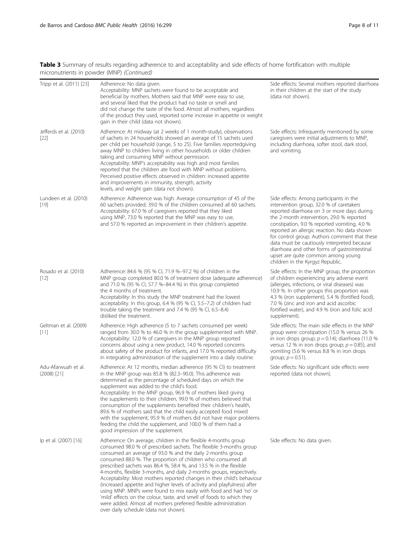Table 3 Summary of results regarding adherence to and acceptability and side effects of home fortification with multiple micronutrients in powder (MNP) (Continued)

| Tripp et al. (2011) [23]             | Adherence: No data given.<br>Acceptability: MNP sachets were found to be acceptable and<br>beneficial by mothers. Mothers said that MNP were easy to use,<br>and several liked that the product had no taste or smell and<br>did not change the taste of the food. Almost all mothers, regardless<br>of the product they used, reported some increase in appetite or weight<br>gain in their child (data not shown).                                                                                                                                                                                                                                                                                                                                                                                                                | Side effects: Several mothers reported diarrhoea<br>in their children at the start of the study<br>(data not shown).                                                                                                                                                                                                                                                                                                                                                                                       |
|--------------------------------------|-------------------------------------------------------------------------------------------------------------------------------------------------------------------------------------------------------------------------------------------------------------------------------------------------------------------------------------------------------------------------------------------------------------------------------------------------------------------------------------------------------------------------------------------------------------------------------------------------------------------------------------------------------------------------------------------------------------------------------------------------------------------------------------------------------------------------------------|------------------------------------------------------------------------------------------------------------------------------------------------------------------------------------------------------------------------------------------------------------------------------------------------------------------------------------------------------------------------------------------------------------------------------------------------------------------------------------------------------------|
| Jefferds et al. (2010)<br>$[22]$     | Adherence: At midway (at 2 weeks of 1 month-study), observations<br>of sachets in 24 households showed an average of 15 sachets used<br>per child per household (range, 5 to 25). Five families reportedgiving<br>away MNP to children living in other households or older children<br>taking and consuming MNP without permission.<br>Acceptability: MNP's acceptability was high and most families<br>reported that the children ate food with MNP without problems.<br>Perceived positive effects observed in children: increased appetite<br>and improvements in immunity, strength, activity<br>levels, and weight gain (data not shown).                                                                                                                                                                                      | Side effects: Infrequently mentioned by some<br>caregivers were initial adjustments to MNP,<br>including diarrhoea, softer stool, dark stool,<br>and vomiting.                                                                                                                                                                                                                                                                                                                                             |
| Lundeen et al. (2010)<br>$[19]$      | Adherence: Adherence was high. Average consumption of 45 of the<br>60 sachets provided; 39.0 % of the children consumed all 60 sachets.<br>Acceptability: 67.0 % of caregivers reported that they liked<br>using MNP, 73.0 % reported that the MNP was easy to use,<br>and 57.0 % reported an improvement in their children's appetite.                                                                                                                                                                                                                                                                                                                                                                                                                                                                                             | Side effects: Among participants in the<br>intervention group, 32.0 % of caretakers<br>reported diarrhoea on 3 or more days during<br>the 2-month intervention, 29.0 % reported<br>constipation, 9.0 % reported vomiting, 4.0 %<br>reported an allergic reaction. No data shown<br>for control group. Authors comment that these<br>data must be cautiously interpreted because<br>diarrhoea and other forms of gastrointestinal<br>upset are quite common among young<br>children in the Kyrgyz Republic. |
| Rosado et al. (2010)<br>$[12]$       | Adherence: 84.6 % (95 % CI, 71.9 %-97.2 %) of children in the<br>MNP group completed 80.0 % of treatment dose (adequate adherence)<br>and 71.0 % (95 % CI, 57.7 %-84.4 %) in this group completed<br>the 4 months of treatment.<br>Acceptability: In this study the MNP treatment had the lowest<br>acceptability. In this group, 6.4 % (95 % CI, 5.5-7.2) of children had<br>trouble taking the treatment and 7.4 % (95 % CI, 6.5-8.4)<br>disliked the treatment.                                                                                                                                                                                                                                                                                                                                                                  | Side effects: In the MNP group, the proportion<br>of children experiencing any adverse event<br>(allergies, infections, or viral diseases) was<br>10.9 %. In other groups this proportion was<br>4.3 % (iron supplement), 5.4 % (fortified food),<br>7.0 % (zinc and iron and acid ascorbic<br>fortified water), and 4.9 % (iron and folic acid<br>supplement).                                                                                                                                            |
| Geltman et al. (2009)<br>[11]        | Adherence: High adherence (5 to 7 sachets consumed per week)<br>ranged from 30.0 % to 46.0 % in the group supplemented with MNP.<br>Acceptability: 12.0 % of caregivers in the MNP group reported<br>concerns about using a new product, 14.0 % reported concerns<br>about safety of the product for infants, and 17.0 % reported difficulty<br>in integrating administration of the supplement into a daily routine.                                                                                                                                                                                                                                                                                                                                                                                                               | Side effects: The main side effects in the MNP<br>group were: constipation (15.0 % versus 26 %<br>in iron drops group; $p = 0.14$ ); diarrhoea (11.0 %<br>versus 12 % in iron drops group; $p = 0.85$ ), and<br>vomiting (5.6 % versus 8.8 % in iron drops<br>group; $p = 0.51$ ).                                                                                                                                                                                                                         |
| Adu-Afarwuah et al.<br>$(2008)$ [21] | Adherence: At 12 months, median adherence (95 % CI) to treatment<br>in the MNP group was 85.8 % (82.3–90.0). This adherence was<br>determined as the percentage of scheduled days on which the<br>supplement was added to the child's food.<br>Acceptability: In the MNP group, 96.9 % of mothers liked giving<br>the supplements to their children, 99.0 % of mothers believed that<br>consumption of the supplements benefited their children's health,<br>89.6 % of mothers said that the child easily accepted food mixed<br>with the supplement, 95.9 % of mothers did not have major problems<br>feeding the child the supplement, and 100.0 % of them had a<br>good impression of the supplement.                                                                                                                            | Side effects: No significant side effects were<br>reported (data not shown).                                                                                                                                                                                                                                                                                                                                                                                                                               |
| lp et al. (2007) [16]                | Adherence: On average, children in the flexible 4-months group<br>consumed 98.0 % of prescribed sachets. The flexible 3-months group<br>consumed an average of 93.0 % and the daily 2-months group<br>consumed 88.0 %. The proportion of children who consumed all<br>prescribed sachets was 86.4 %, 58.4 %, and 13.5 % in the flexible<br>4-months, flexible 3-months, and daily 2-months groups, respectively.<br>Acceptability: Most mothers reported changes in their child's behaviour<br>(increased appetite and higher levels of activity and playfulness) after<br>using MNP. MNPs were found to mix easily with food and had 'no' or<br>'mild' effects on the colour, taste, and smell of foods to which they<br>were added. Almost all mothers preferred flexible administration<br>over daily schedule (data not shown). | Side effects: No data given.                                                                                                                                                                                                                                                                                                                                                                                                                                                                               |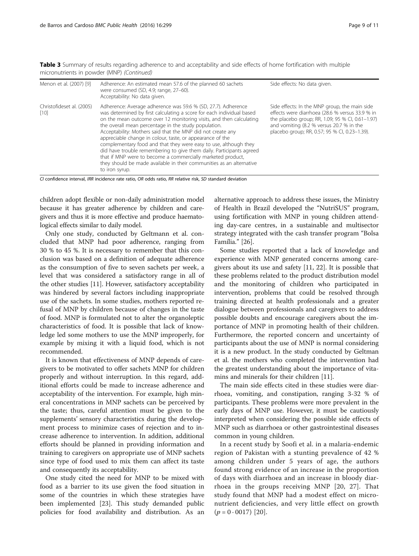| Menon et al. (2007) [9]             | Adherence: An estimated mean 57.6 of the planned 60 sachets<br>were consumed (SD, 4.9; range, 27-60).<br>Acceptability: No data given.                                                                                                                                                                                                                                                                                                                                                                                                                                                                                                                                                                 | Side effects: No data given.                                                                                                                                                                                                                      |
|-------------------------------------|--------------------------------------------------------------------------------------------------------------------------------------------------------------------------------------------------------------------------------------------------------------------------------------------------------------------------------------------------------------------------------------------------------------------------------------------------------------------------------------------------------------------------------------------------------------------------------------------------------------------------------------------------------------------------------------------------------|---------------------------------------------------------------------------------------------------------------------------------------------------------------------------------------------------------------------------------------------------|
| Christofideset al. (2005)<br>$[10]$ | Adherence: Average adherence was 59.6 % (SD, 27.7). Adherence<br>was determined by first calculating a score for each individual based<br>on the mean outcome over 12 monitoring visits, and then calculating<br>the overall mean percentage in the study population.<br>Acceptability: Mothers said that the MNP did not create any<br>appreciable change in colour, taste, or appearance of the<br>complementary food and that they were easy to use, although they<br>did have trouble remembering to give them daily. Participants agreed<br>that if MNP were to become a commercially marketed product,<br>they should be made available in their communities as an alternative<br>to iron syrup. | Side effects: In the MNP group, the main side<br>effects were diarrhoea (28.6 % versus 33.9 % in<br>the placebo group; RR, 1.09; 95 % CI, 0.61-1.97)<br>and vomiting (8.2 % versus 20.7 % in the<br>placebo group; RR, 0.57; 95 % CI, 0.23-1.39). |

Table 3 Summary of results regarding adherence to and acceptability and side effects of home fortification with multiple micronutrients in powder (MNP) (Continued)

CI confidence interval, IRR incidence rate ratio, OR odds ratio, RR relative risk, SD standard deviation

children adopt flexible or non-daily administration model because it has greater adherence by children and caregivers and thus it is more effective and produce haematological effects similar to daily model.

Only one study, conducted by Geltmann et al. concluded that MNP had poor adherence, ranging from 30 % to 45 %. It is necessary to remember that this conclusion was based on a definition of adequate adherence as the consumption of five to seven sachets per week, a level that was considered a satisfactory range in all of the other studies [[11\]](#page-9-0). However, satisfactory acceptability was hindered by several factors including inappropriate use of the sachets. In some studies, mothers reported refusal of MNP by children because of changes in the taste of food. MNP is formulated not to alter the organoleptic characteristics of food. It is possible that lack of knowledge led some mothers to use the MNP improperly, for example by mixing it with a liquid food, which is not recommended.

It is known that effectiveness of MNP depends of caregivers to be motivated to offer sachets MNP for children properly and without interruption. In this regard, additional efforts could be made to increase adherence and acceptability of the intervention. For example, high mineral concentrations in MNP sachets can be perceived by the taste; thus, careful attention must be given to the supplements' sensory characteristics during the development process to minimize cases of rejection and to increase adherence to intervention. In addition, additional efforts should be planned in providing information and training to caregivers on appropriate use of MNP sachets since type of food used to mix them can affect its taste and consequently its acceptability.

One study cited the need for MNP to be mixed with food as a barrier to its use given the food situation in some of the countries in which these strategies have been implemented [[23](#page-10-0)]. This study demanded public policies for food availability and distribution. As an alternative approach to address these issues, the Ministry of Health in Brazil developed the "NutriSUS" program, using fortification with MNP in young children attending day-care centres, in a sustainable and multisector strategy integrated with the cash transfer program "Bolsa Família." [\[26\]](#page-10-0).

Some studies reported that a lack of knowledge and experience with MNP generated concerns among caregivers about its use and safety [\[11](#page-9-0), [22](#page-10-0)]. It is possible that these problems related to the product distribution model and the monitoring of children who participated in intervention, problems that could be resolved through training directed at health professionals and a greater dialogue between professionals and caregivers to address possible doubts and encourage caregivers about the importance of MNP in promoting health of their children. Furthermore, the reported concern and uncertainty of participants about the use of MNP is normal considering it is a new product. In the study conducted by Geltman et al. the mothers who completed the intervention had the greatest understanding about the importance of vitamins and minerals for their children [[11\]](#page-9-0).

The main side effects cited in these studies were diarrhoea, vomiting, and constipation, ranging 3-32 % of participants. These problems were more prevalent in the early days of MNP use. However, it must be cautiously interpreted when considering the possible side effects of MNP such as diarrhoea or other gastrointestinal diseases common in young children.

In a recent study by Soofi et al. in a malaria-endemic region of Pakistan with a stunting prevalence of 42 % among children under 5 years of age, the authors found strong evidence of an increase in the proportion of days with diarrhoea and an increase in bloody diarrhoea in the groups receiving MNP [[20, 27](#page-10-0)]. That study found that MNP had a modest effect on micronutrient deficiencies, and very little effect on growth  $(p = 0.0017)$  [\[20\]](#page-10-0).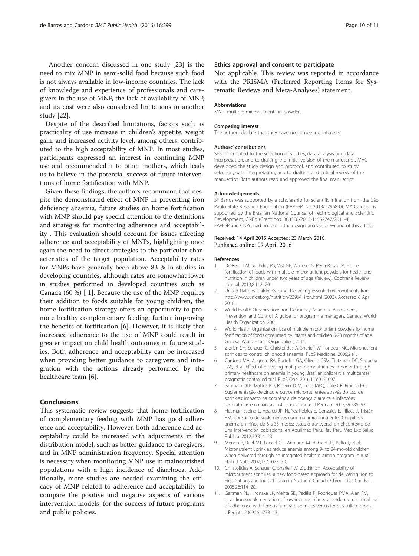<span id="page-9-0"></span>Another concern discussed in one study [\[23](#page-10-0)] is the need to mix MNP in semi-solid food because such food is not always available in low-income countries. The lack of knowledge and experience of professionals and caregivers in the use of MNP, the lack of availability of MNP, and its cost were also considered limitations in another study [[22\]](#page-10-0).

Despite of the described limitations, factors such as practicality of use increase in children's appetite, weight gain, and increased activity level, among others, contributed to the high acceptability of MNP. In most studies, participants expressed an interest in continuing MNP use and recommended it to other mothers, which leads us to believe in the potential success of future interventions of home fortification with MNP.

Given these findings, the authors recommend that despite the demonstrated effect of MNP in preventing iron deficiency anaemia, future studies on home fortification with MNP should pay special attention to the definitions and strategies for monitoring adherence and acceptability . This evaluation should account for issues affecting adherence and acceptability of MNPs, highlighting once again the need to direct strategies to the particular characteristics of the target population. Acceptability rates for MNPs have generally been above 83 % in studies in developing countries, although rates are somewhat lower in studies performed in developed countries such as Canada (60 %) [ 1]. Because the use of the MNP requires their addition to foods suitable for young children, the home fortification strategy offers an opportunity to promote healthy complementary feeding, further improving the benefits of fortification [6]. However, it is likely that increased adherence to the use of MNP could result in greater impact on child health outcomes in future studies. Both adherence and acceptability can be increased when providing better guidance to caregivers and integration with the actions already performed by the healthcare team [6].

### Conclusions

This systematic review suggests that home fortification of complementary feeding with MNP has good adherence and acceptability. However, both adherence and acceptability could be increased with adjustments in the distribution model, such as better guidance to caregivers, and in MNP administration frequency. Special attention is necessary when monitoring MNP use in malnourished populations with a high incidence of diarrhoea. Additionally, more studies are needed examining the efficacy of MNP related to adherence and acceptability to compare the positive and negative aspects of various intervention models, for the success of future programs and public policies.

### Ethics approval and consent to participate

Not applicable. This review was reported in accordance with the PRISMA (Preferred Reporting Items for Systematic Reviews and Meta-Analyses) statement.

#### Abbreviations

MNP: multiple micronutrients in powder.

#### Competing interest

The authors declare that they have no competing interests.

#### Authors' contributions

SFB contributed to the selection of studies, data analysis and data interpretation, and to drafting the initial version of the manuscript. MAC developed the study design and protocol, and contributed to study selection, data interpretation, and to drafting and critical review of the manuscript. Both authors read and approved the final manuscript.

#### Acknowledgements

SF Barros was supported by a scholarship for scientific initiation from the São Paulo State Research Foundation (FAPESP, No 2013/12968-0). MA Cardoso is supported by the Brazilian National Counsel of Technological and Scientific Development, CNPq (Grant nos. 308308/2013-1; 552747/2011-4). FAPESP and CNPq had no role in the design, analysis or writing of this article.

#### Received: 14 April 2015 Accepted: 23 March 2016 Published online: 07 April 2016

#### References

- 1. De-Regil LM, Suchdev PS, Vist GE, Walleser S, Peña-Rosas JP. Home fortification of foods with multiple micronutrient powders for health and nutrition in children under two years of age (Review). Cochrane Review Journal. 2013;8:112–201.
- 2. United Nations Children's Fund: Delivering essential micronutrients-Iron. [http://www.unicef.org/nutrition/23964\\_iron.html](http://www.unicef.org/nutrition/23964_iron.html) (2003). Accessed 6 Apr 2016.
- 3. World Health Organization: Iron Deficiency Anaemia- Assessment, Prevention, and Control. A guide for programme managers. Geneva: World Health Organization; 2001.
- 4. World Health Organization. Use of multiple micronutrient powders for home fortification of foods consumed by infants and children 6-23 months of age. Geneva: World Health Organization; 2011.
- 5. Zlotkin SH, Schauer C, Christofides A, Sharieff W, Tondeur MC. Micronutrient sprinkles to control childhood anaemia. PLoS Medicine. 2005;2:e1.
- 6. Cardoso MA, Augusto RA, Bortolini GA, Oliveira CSM, Tietzman DC, Sequeira LAS, et al. Effect of providing multiple micronutrientes in poder through primary healthcare on anemia in young Brazilian children: a multicenter pragmatic controlled trial. PLoS One. 2016;11:e0151097.
- 7. Sampaio DLB, Mattos PD, Ribeiro TCM, Leite MEQ, Cole CR, Ribeiro HC. Suplementação de zinco e outros micronutrientes através do uso de sprinkles: impacto na ocorrência de doença diarreica e infecções respiratórias em crianças institucionalizadas. J Pedriatr. 2013;89:286–93.
- 8. Huamán-Espino L, Aparco JP, Nuñez-Robles E, Gonzáles E, Pillaca J, Tristán PM. Consumo de suplementos com multimicronutrientes Chispitas y anemia en niños de 6 a 35 meses: estudio transversal en el contexto de una intervención poblacional en Apurímac, Perú. Rev Peru Med Exp Salud Publica. 2012;29:314–23.
- 9. Menon P, Ruel MT, Loechl CU, Arimond M, Habicht JP, Pelto J, et al. Micronutrient Sprinkles reduce anemia among 9- to 24-mo-old children when delivered through an integrated health nutrition program in rural Haiti. J Nutr. 2007;137:1023–30.
- 10. Christofides A, Schauer C, Sharieff W, Zlotkin SH. Acceptability of micronutrient sprinkles: a new food-based approach for delivering iron to First Nations and Inuit children in Northern Canada. Chronic Dis Can Fall. 2005;26:114–20.
- 11. Geltman PL, Hironaka LK, Mehta SD, Padilla P, Rodrigues PMA, Alan FM, et al. Iron supplementation of low-income infants: a randomized clinical trial of adherence with ferrous fumarate sprinkles versus ferrous sulfate drops. J Pediatr. 2009;154:738–43.